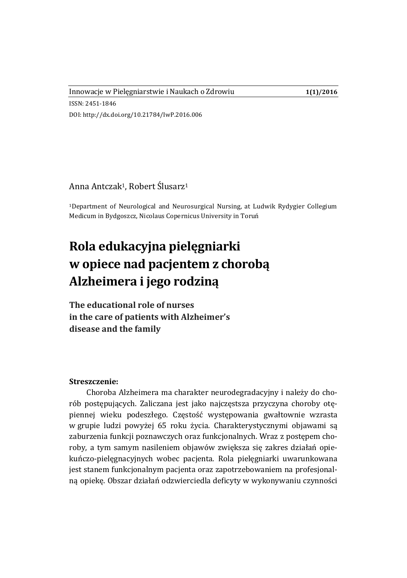#### Innowacje w Pielęgniarstwie i Naukach o Zdrowiu **1(1)/2016**

ISSN: 2451-1846 DOI: http://dx.doi.org/10.21784/IwP.2016.006

# Anna Antczak1, Robert Ślusarz<sup>1</sup>

<sup>1</sup>Department of Neurological and Neurosurgical Nursing, at Ludwik Rydygier Collegium Medicum in Bydgoszcz, Nicolaus Copernicus University in Toruń

# **Rola edukacyjna pielęgniarki w opiece nad pacjentem z chorobą Alzheimera i jego rodziną**

**The educational role of nurses in the care of patients with Alzheimer's disease and the family**

#### **Streszczenie:**

Choroba Alzheimera ma charakter neurodegradacyjny i należy do chorób postępujących. Zaliczana jest jako najczęstsza przyczyna choroby otępiennej wieku podeszłego. Częstość występowania gwałtownie wzrasta w grupie ludzi powyżej 65 roku życia. Charakterystycznymi objawami są zaburzenia funkcji poznawczych oraz funkcjonalnych. Wraz z postępem choroby, a tym samym nasileniem objawów zwiększa się zakres działań opiekuńczo-pielęgnacyjnych wobec pacjenta. Rola pielęgniarki uwarunkowana jest stanem funkcjonalnym pacjenta oraz zapotrzebowaniem na profesjonalną opiekę. Obszar działań odzwierciedla deficyty w wykonywaniu czynności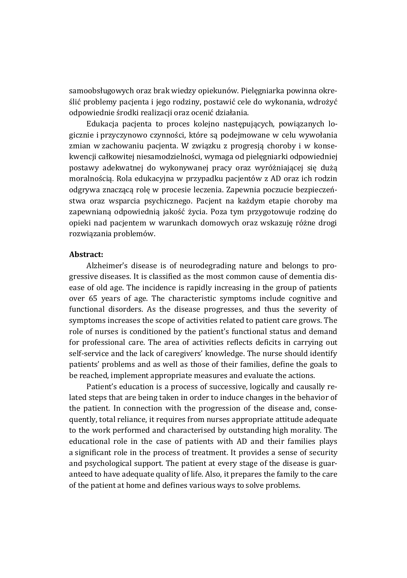samoobsługowych oraz brak wiedzy opiekunów. Pielęgniarka powinna określić problemy pacjenta i jego rodziny, postawić cele do wykonania, wdrożyć odpowiednie środki realizacji oraz ocenić działania.

Edukacja pacjenta to proces kolejno następujących, powiązanych logicznie i przyczynowo czynności, które są podejmowane w celu wywołania zmian w zachowaniu pacjenta. W związku z progresją choroby i w konsekwencji całkowitej niesamodzielności, wymaga od pielęgniarki odpowiedniej postawy adekwatnej do wykonywanej pracy oraz wyróżniającej się dużą moralnością. Rola edukacyjna w przypadku pacjentów z AD oraz ich rodzin odgrywa znaczącą rolę w procesie leczenia. Zapewnia poczucie bezpieczeństwa oraz wsparcia psychicznego. Pacjent na każdym etapie choroby ma zapewnianą odpowiednią jakość życia. Poza tym przygotowuje rodzinę do opieki nad pacjentem w warunkach domowych oraz wskazuję różne drogi rozwiązania problemów.

## **Abstract:**

Alzheimer's disease is of neurodegrading nature and belongs to progressive diseases. It is classified as the most common cause of dementia disease of old age. The incidence is rapidly increasing in the group of patients over 65 years of age. The characteristic symptoms include cognitive and functional disorders. As the disease progresses, and thus the severity of symptoms increases the scope of activities related to patient care grows. The role of nurses is conditioned by the patient's functional status and demand for professional care. The area of activities reflects deficits in carrying out self-service and the lack of caregivers' knowledge. The nurse should identify patients' problems and as well as those of their families, define the goals to be reached, implement appropriate measures and evaluate the actions.

Patient's education is a process of successive, logically and causally related steps that are being taken in order to induce changes in the behavior of the patient. In connection with the progression of the disease and, consequently, total reliance, it requires from nurses appropriate attitude adequate to the work performed and characterised by outstanding high morality. The educational role in the case of patients with AD and their families plays a significant role in the process of treatment. It provides a sense of security and psychological support. The patient at every stage of the disease is guaranteed to have adequate quality of life. Also, it prepares the family to the care of the patient at home and defines various ways to solve problems.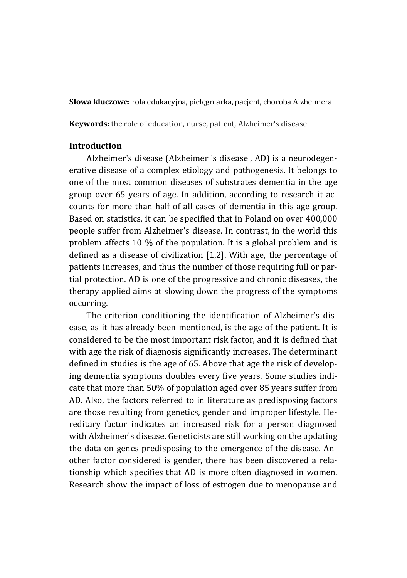**Słowa kluczowe:** rola edukacyjna, pielęgniarka, pacjent, choroba Alzheimera

**Keywords:** the role of education, nurse, patient, Alzheimer's disease

## **Introduction**

Alzheimer's disease (Alzheimer 's disease , AD) is a neurodegenerative disease of a complex etiology and pathogenesis. It belongs to one of the most common diseases of substrates dementia in the age group over 65 years of age. In addition, according to research it accounts for more than half of all cases of dementia in this age group. Based on statistics, it can be specified that in Poland on over 400,000 people suffer from Alzheimer's disease. In contrast, in the world this problem affects 10 % of the population. It is a global problem and is defined as a disease of civilization [1,2]. With age, the percentage of patients increases, and thus the number of those requiring full or partial protection. AD is one of the progressive and chronic diseases, the therapy applied aims at slowing down the progress of the symptoms occurring.

The criterion conditioning the identification of Alzheimer's disease, as it has already been mentioned, is the age of the patient. It is considered to be the most important risk factor, and it is defined that with age the risk of diagnosis significantly increases. The determinant defined in studies is the age of 65. Above that age the risk of developing dementia symptoms doubles every five years. Some studies indicate that more than 50% of population aged over 85 years suffer from AD. Also, the factors referred to in literature as predisposing factors are those resulting from genetics, gender and improper lifestyle. Hereditary factor indicates an increased risk for a person diagnosed with Alzheimer's disease. Geneticists are still working on the updating the data on genes predisposing to the emergence of the disease. Another factor considered is gender, there has been discovered a relationship which specifies that AD is more often diagnosed in women. Research show the impact of loss of estrogen due to menopause and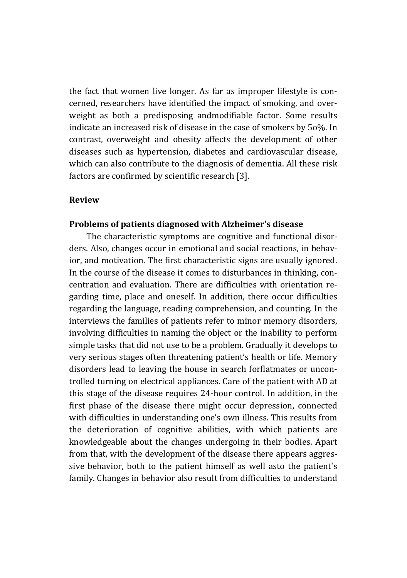the fact that women live longer. As far as improper lifestyle is concerned, researchers have identified the impact of smoking, and overweight as both a predisposing andmodifiable factor. Some results indicate an increased risk of disease in the case of smokers by 5o%. In contrast, overweight and obesity affects the development of other diseases such as hypertension, diabetes and cardiovascular disease, which can also contribute to the diagnosis of dementia. All these risk factors are confirmed by scientific research [3].

## **Review**

#### **Problems of patients diagnosed with Alzheimer's disease**

The characteristic symptoms are cognitive and functional disorders. Also, changes occur in emotional and social reactions, in behavior, and motivation. The first characteristic signs are usually ignored. In the course of the disease it comes to disturbances in thinking, concentration and evaluation. There are difficulties with orientation regarding time, place and oneself. In addition, there occur difficulties regarding the language, reading comprehension, and counting. In the interviews the families of patients refer to minor memory disorders, involving difficulties in naming the object or the inability to perform simple tasks that did not use to be a problem. Gradually it develops to very serious stages often threatening patient's health or life. Memory disorders lead to leaving the house in search forflatmates or uncontrolled turning on electrical appliances. Care of the patient with AD at this stage of the disease requires 24-hour control. In addition, in the first phase of the disease there might occur depression, connected with difficulties in understanding one's own illness. This results from the deterioration of cognitive abilities, with which patients are knowledgeable about the changes undergoing in their bodies. Apart from that, with the development of the disease there appears aggressive behavior, both to the patient himself as well asto the patient's family. Changes in behavior also result from difficulties to understand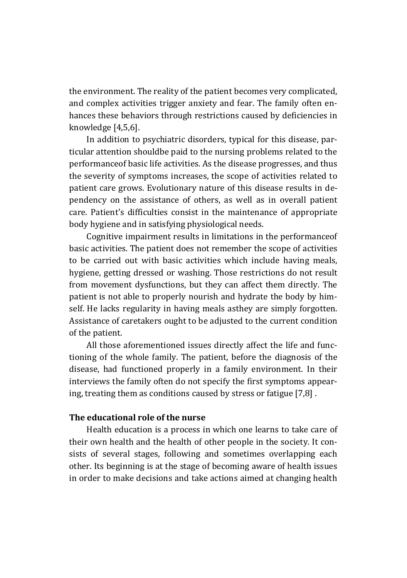the environment. The reality of the patient becomes very complicated, and complex activities trigger anxiety and fear. The family often enhances these behaviors through restrictions caused by deficiencies in knowledge [4,5,6].

In addition to psychiatric disorders, typical for this disease, particular attention shouldbe paid to the nursing problems related to the performanceof basic life activities. As the disease progresses, and thus the severity of symptoms increases, the scope of activities related to patient care grows. Evolutionary nature of this disease results in dependency on the assistance of others, as well as in overall patient care. Patient's difficulties consist in the maintenance of appropriate body hygiene and in satisfying physiological needs.

Cognitive impairment results in limitations in the performanceof basic activities. The patient does not remember the scope of activities to be carried out with basic activities which include having meals, hygiene, getting dressed or washing. Those restrictions do not result from movement dysfunctions, but they can affect them directly. The patient is not able to properly nourish and hydrate the body by himself. He lacks regularity in having meals asthey are simply forgotten. Assistance of caretakers ought to be adjusted to the current condition of the patient.

All those aforementioned issues directly affect the life and functioning of the whole family. The patient, before the diagnosis of the disease, had functioned properly in a family environment. In their interviews the family often do not specify the first symptoms appearing, treating them as conditions caused by stress or fatigue [7,8] .

## **The educational role of the nurse**

Health education is a process in which one learns to take care of their own health and the health of other people in the society. It consists of several stages, following and sometimes overlapping each other. Its beginning is at the stage of becoming aware of health issues in order to make decisions and take actions aimed at changing health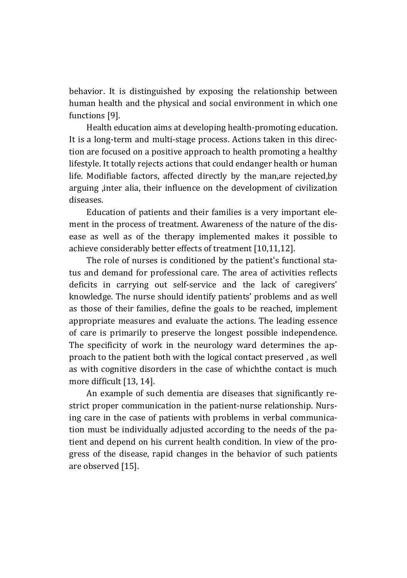behavior. It is distinguished by exposing the relationship between human health and the physical and social environment in which one functions [9].

Health education aims at developing health-promoting education. It is a long-term and multi-stage process. Actions taken in this direction are focused on a positive approach to health promoting a healthy lifestyle. It totally rejects actions that could endanger health or human life. Modifiable factors, affected directly by the man,are rejected,by arguing ,inter alia, their influence on the development of civilization diseases.

Education of patients and their families is a very important element in the process of treatment. Awareness of the nature of the disease as well as of the therapy implemented makes it possible to achieve considerably better effects of treatment [10,11,12].

The role of nurses is conditioned by the patient's functional status and demand for professional care. The area of activities reflects deficits in carrying out self-service and the lack of caregivers' knowledge. The nurse should identify patients' problems and as well as those of their families, define the goals to be reached, implement appropriate measures and evaluate the actions. The leading essence of care is primarily to preserve the longest possible independence. The specificity of work in the neurology ward determines the approach to the patient both with the logical contact preserved , as well as with cognitive disorders in the case of whichthe contact is much more difficult [13, 14].

An example of such dementia are diseases that significantly restrict proper communication in the patient-nurse relationship. Nursing care in the case of patients with problems in verbal communication must be individually adjusted according to the needs of the patient and depend on his current health condition. In view of the progress of the disease, rapid changes in the behavior of such patients are observed [15].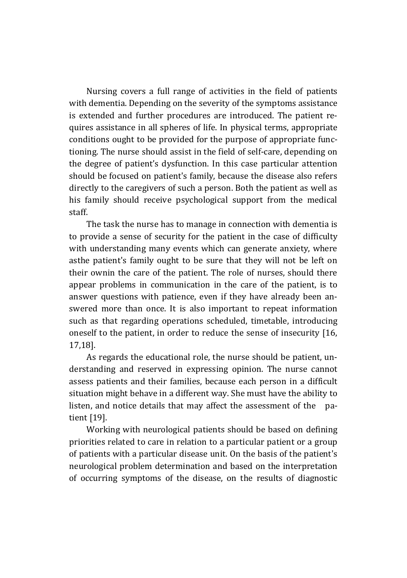Nursing covers a full range of activities in the field of patients with dementia. Depending on the severity of the symptoms assistance is extended and further procedures are introduced. The patient requires assistance in all spheres of life. In physical terms, appropriate conditions ought to be provided for the purpose of appropriate functioning. The nurse should assist in the field of self-care, depending on the degree of patient's dysfunction. In this case particular attention should be focused on patient's family, because the disease also refers directly to the caregivers of such a person. Both the patient as well as his family should receive psychological support from the medical staff.

The task the nurse has to manage in connection with dementia is to provide a sense of security for the patient in the case of difficulty with understanding many events which can generate anxiety, where asthe patient's family ought to be sure that they will not be left on their ownin the care of the patient. The role of nurses, should there appear problems in communication in the care of the patient, is to answer questions with patience, even if they have already been answered more than once. It is also important to repeat information such as that regarding operations scheduled, timetable, introducing oneself to the patient, in order to reduce the sense of insecurity [16, 17,18].

As regards the educational role, the nurse should be patient, understanding and reserved in expressing opinion. The nurse cannot assess patients and their families, because each person in a difficult situation might behave in a different way. She must have the ability to listen, and notice details that may affect the assessment of the patient [19].

Working with neurological patients should be based on defining priorities related to care in relation to a particular patient or a group of patients with a particular disease unit. On the basis of the patient's neurological problem determination and based on the interpretation of occurring symptoms of the disease, on the results of diagnostic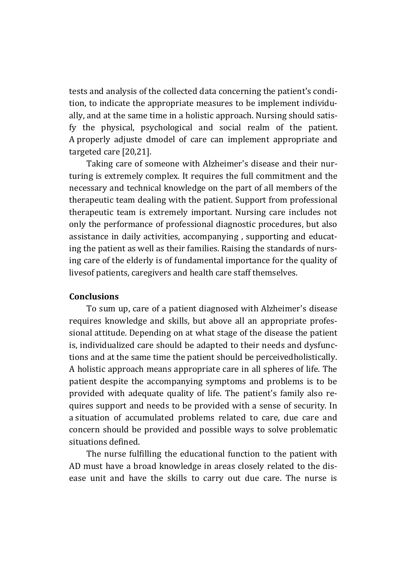tests and analysis of the collected data concerning the patient's condition, to indicate the appropriate measures to be implement individually, and at the same time in a holistic approach. Nursing should satisfy the physical, psychological and social realm of the patient. A properly adjuste dmodel of care can implement appropriate and targeted care [20,21].

Taking care of someone with Alzheimer's disease and their nurturing is extremely complex. It requires the full commitment and the necessary and technical knowledge on the part of all members of the therapeutic team dealing with the patient. Support from professional therapeutic team is extremely important. Nursing care includes not only the performance of professional diagnostic procedures, but also assistance in daily activities, accompanying , supporting and educating the patient as well as their families. Raising the standards of nursing care of the elderly is of fundamental importance for the quality of livesof patients, caregivers and health care staff themselves.

## **Conclusions**

To sum up, care of a patient diagnosed with Alzheimer's disease requires knowledge and skills, but above all an appropriate professional attitude. Depending on at what stage of the disease the patient is, individualized care should be adapted to their needs and dysfunctions and at the same time the patient should be perceivedholistically. A holistic approach means appropriate care in all spheres of life. The patient despite the accompanying symptoms and problems is to be provided with adequate quality of life. The patient's family also requires support and needs to be provided with a sense of security. In a situation of accumulated problems related to care, due care and concern should be provided and possible ways to solve problematic situations defined.

The nurse fulfilling the educational function to the patient with AD must have a broad knowledge in areas closely related to the disease unit and have the skills to carry out due care. The nurse is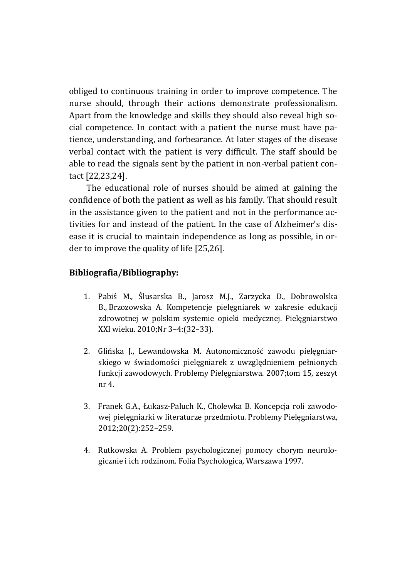obliged to continuous training in order to improve competence. The nurse should, through their actions demonstrate professionalism. Apart from the knowledge and skills they should also reveal high social competence. In contact with a patient the nurse must have patience, understanding, and forbearance. At later stages of the disease verbal contact with the patient is very difficult. The staff should be able to read the signals sent by the patient in non-verbal patient contact [22,23,24].

The educational role of nurses should be aimed at gaining the confidence of both the patient as well as his family. That should result in the assistance given to the patient and not in the performance activities for and instead of the patient. In the case of Alzheimer's disease it is crucial to maintain independence as long as possible, in order to improve the quality of life [25,26].

## **Bibliografia/Bibliography:**

- 1. Pabiś M., Ślusarska B., Jarosz M.J., Zarzycka D., Dobrowolska B., Brzozowska A. Kompetencje pielęgniarek w zakresie edukacji zdrowotnej w polskim systemie opieki medycznej. Pielęgniarstwo XXI wieku. 2010;Nr 3–4:(32–33).
- 2. Glińska J., Lewandowska M. Autonomiczność zawodu pielęgniarskiego w świadomości pielęgniarek z uwzględnieniem pełnionych funkcji zawodowych. Problemy Pielęgniarstwa. 2007;tom 15, zeszyt nr 4.
- 3. Franek G.A., Łukasz-Paluch K., Cholewka B. Koncepcja roli zawodowej pielęgniarki w literaturze przedmiotu. Problemy Pielęgniarstwa, 2012;20(2):252–259.
- 4. Rutkowska A. Problem psychologicznej pomocy chorym neurologicznie i ich rodzinom. Folia Psychologica, Warszawa 1997.